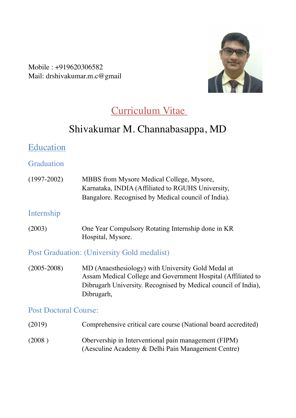Mobile : +919620306582 Mail: drshivakumar.m.c@gmail



# Curriculum Vitae

# Shivakumar M. Channabasappa, MD

### Education

**Graduation** 

(1997-2002) MBBS from Mysore Medical College, Mysore, Karnataka, INDIA (Affiliated to RGUHS University, Bangalore. Recognised by Medical council of India).

#### Internship

(2003) One Year Compulsory Rotating Internship done in KR Hospital, Mysore.

### Post Graduation: (University Gold medalist)

(2005-2008) MD (Anaesthesiology) with University Gold Medal at Assam Medical College and Government Hospital (Affiliated to Dibrugarh University. Recognised by Medical council of India), Dibrugarh,

#### Post Doctoral Course:

(2019) Comprehensive critical care course (National board accredited) (2008 ) Obervership in Interventional pain management (FIPM) (Aesculine Academy & Delhi Pain Management Centre)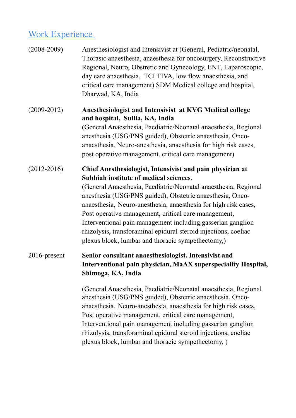# Work Experience

| $(2008 - 2009)$ | Anesthesiologist and Intensivist at (General, Pediatric/neonatal,<br>Thorasic anaesthesia, anaesthesia for oncosurgery, Reconstructive<br>Regional, Neuro, Obstretic and Gynecology, ENT, Laparoscopic,<br>day care anaesthesia, TCI TIVA, low flow anaesthesia, and<br>critical care management) SDM Medical college and hospital,<br>Dharwad, KA, India                                                                                                                                                                                             |
|-----------------|-------------------------------------------------------------------------------------------------------------------------------------------------------------------------------------------------------------------------------------------------------------------------------------------------------------------------------------------------------------------------------------------------------------------------------------------------------------------------------------------------------------------------------------------------------|
| $(2009 - 2012)$ | Anesthesiologist and Intensivist at KVG Medical college<br>and hospital, Sullia, KA, India<br>(General Anaesthesia, Paediatric/Neonatal anaesthesia, Regional<br>anesthesia (USG/PNS guided), Obstetric anaesthesia, Onco-<br>anaesthesia, Neuro-anesthesia, anaesthesia for high risk cases,<br>post operative management, critical care management)                                                                                                                                                                                                 |
| $(2012 - 2016)$ | Chief Anesthesiologist, Intensivist and pain physician at<br>Subbiah institute of medical sciences.<br>(General Anaesthesia, Paediatric/Neonatal anaesthesia, Regional<br>anesthesia (USG/PNS guided), Obstetric anaesthesia, Onco-<br>anaesthesia, Neuro-anesthesia, anaesthesia for high risk cases,<br>Post operative management, critical care management,<br>Interventional pain management including gasserian ganglion<br>rhizolysis, transforaminal epidural steroid injections, coeliac<br>plexus block, lumbar and thoracic sympethectomy,) |
| $2016$ -present | Senior consultant anaesthesiologist, Intensivist and<br>Interventional pain physician, MaAX superspeciality Hospital,<br>Shimoga, KA, India                                                                                                                                                                                                                                                                                                                                                                                                           |
|                 | (General Anaesthesia, Paediatric/Neonatal anaesthesia, Regional<br>anesthesia (USG/PNS guided), Obstetric anaesthesia, Onco-<br>anaesthesia, Neuro-anesthesia, anaesthesia for high risk cases,<br>Post operative management, critical care management,<br>Interventional pain management including gasserian ganglion<br>rhizolysis, transforaminal epidural steroid injections, coeliac<br>plexus block, lumbar and thoracic sympethectomy, )                                                                                                       |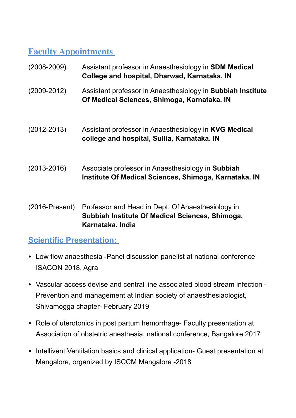# **Faculty Appointments**

| $(2008 - 2009)$         | Assistant professor in Anaesthesiology in <b>SDM Medical</b><br>College and hospital, Dharwad, Karnataka. IN |
|-------------------------|--------------------------------------------------------------------------------------------------------------|
| $(2009 - 2012)$         | Assistant professor in Anaesthesiology in Subbiah Institute<br>Of Medical Sciences, Shimoga, Karnataka. IN   |
| $(2012 - 2013)$         | Assistant professor in Anaesthesiology in KVG Medical<br>college and hospital, Sullia, Karnataka. IN         |
| $(2013 - 2016)$         | Associate professor in Anaesthesiology in Subbiah<br>Institute Of Medical Sciences, Shimoga, Karnataka. IN   |
| $(2016\text{-}Present)$ | Professor and Head in Dept. Of Anaesthesiology in                                                            |

(2016-Present) Professor and Head in Dept. Of Anaesthesiolo **Subbiah Institute Of Medical Sciences, Shimoga, Karnataka. India**

## **Scientific Presentation:**

- Low flow anaesthesia -Panel discussion panelist at national conference ISACON 2018, Agra
- Vascular access devise and central line associated blood stream infection Prevention and management at Indian society of anaesthesiaologist, Shivamogga chapter- February 2019
- Role of uterotonics in post partum hemorrhage- Faculty presentation at Association of obstetric anesthesia, national conference, Bangalore 2017
- Intellivent Ventilation basics and clinical application- Guest presentation at Mangalore, organized by ISCCM Mangalore -2018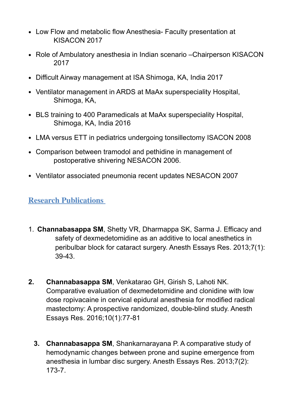- Low Flow and metabolic flow Anesthesia- Faculty presentation at KISACON 2017
- Role of Ambulatory anesthesia in Indian scenario –Chairperson KISACON 2017
- Difficult Airway management at ISA Shimoga, KA, India 2017
- Ventilator management in ARDS at MaAx superspeciality Hospital, Shimoga, KA,
- BLS training to 400 Paramedicals at MaAx superspeciality Hospital, Shimoga, KA, India 2016
- LMA versus ETT in pediatrics undergoing tonsillectomy ISACON 2008
- Comparison between tramodol and pethidine in management of postoperative shivering NESACON 2006.
- Ventilator associated pneumonia recent updates NESACON 2007

### **Research Publications**

- 1. **Channabasappa SM**, Shetty VR, Dharmappa SK, Sarma J. Efficacy and safety of dexmedetomidine as an additive to local anesthetics in peribulbar block for cataract surgery. Anesth Essays Res. 2013;7(1): 39-43.
- **2. Channabasappa SM**, Venkatarao GH, Girish S, Lahoti NK. Comparative evaluation of dexmedetomidine and clonidine with low dose ropivacaine in cervical epidural anesthesia for modified radical mastectomy: A prospective randomized, double-blind study. Anesth Essays Res. 2016;10(1):77-81
	- **3. Channabasappa SM**, Shankarnarayana P. A comparative study of hemodynamic changes between prone and supine emergence from anesthesia in lumbar disc surgery. Anesth Essays Res. 2013;7(2): 173-7.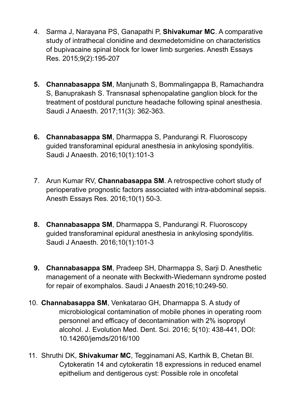- 4. Sarma J, Narayana PS, Ganapathi P, **Shivakumar MC**. A comparative study of intrathecal clonidine and dexmedetomidine on characteristics of bupivacaine spinal block for lower limb surgeries. Anesth Essays Res. 2015;9(2):195-207
- **5. Channabasappa SM**, Manjunath S, Bommalingappa B, Ramachandra S, Banuprakash S. Transnasal sphenopalatine ganglion block for the treatment of postdural puncture headache following spinal anesthesia. Saudi J Anaesth. 2017;11(3): 362-363.
- **6. Channabasappa SM**, Dharmappa S, Pandurangi R. Fluoroscopy guided transforaminal epidural anesthesia in ankylosing spondylitis. Saudi J Anaesth. 2016;10(1):101-3
- 7. Arun Kumar RV, **Channabasappa SM**. A retrospective cohort study of perioperative prognostic factors associated with intra-abdominal sepsis. Anesth Essays Res. 2016;10(1) 50-3.
- **8. Channabasappa SM**, Dharmappa S, Pandurangi R. Fluoroscopy guided transforaminal epidural anesthesia in ankylosing spondylitis. Saudi J Anaesth. 2016;10(1):101-3
- **9. Channabasappa SM**, Pradeep SH, Dharmappa S, Sarji D. Anesthetic management of a neonate with Beckwith-Wiedemann syndrome posted for repair of exomphalos. Saudi J Anaesth 2016;10:249-50.
- 10. **Channabasappa SM**, Venkatarao GH, Dharmappa S. A study of microbiological contamination of mobile phones in operating room personnel and efficacy of decontamination with 2% isopropyl alcohol. J. Evolution Med. Dent. Sci. 2016; 5(10): 438-441, DOI: 10.14260/jemds/2016/100
- 11. Shruthi DK, **Shivakumar MC**, Tegginamani AS, Karthik B, Chetan BI. Cytokeratin 14 and cytokeratin 18 expressions in reduced enamel epithelium and dentigerous cyst: Possible role in oncofetal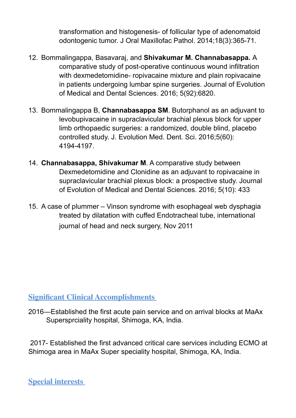transformation and histogenesis- of follicular type of adenomatoid odontogenic tumor. J Oral Maxillofac Pathol. 2014;18(3):365-71.

- 12. Bommalingappa, Basavaraj, and **Shivakumar M. Channabasappa.** A comparative study of post-operative continuous wound infiltration with dexmedetomidine- ropivacaine mixture and plain ropivacaine in patients undergoing lumbar spine surgeries. Journal of Evolution of Medical and Dental Sciences. 2016; 5(92):6820.
- 13. Bommalingappa B, **Channabasappa SM**. Butorphanol as an adjuvant to levobupivacaine in supraclavicular brachial plexus block for upper limb orthopaedic surgeries: a randomized, double blind, placebo controlled study. J. Evolution Med. Dent. Sci. 2016;5(60): 4194-4197.
- 14. **Channabasappa, Shivakumar M**. A comparative study between Dexmedetomidine and Clonidine as an adjuvant to ropivacaine in supraclavicular brachial plexus block: a prospective study. Journal of Evolution of Medical and Dental Sciences. 2016; 5(10): 433
- 15. A case of plummer Vinson syndrome with esophageal web dysphagia treated by dilatation with cuffed Endotracheal tube, international journal of head and neck surgery, Nov 2011

### **Significant Clinical Accomplishments**

2016—Established the first acute pain service and on arrival blocks at MaAx Supersprciality hospital, Shimoga, KA, India.

 2017- Established the first advanced critical care services including ECMO at Shimoga area in MaAx Super speciality hospital, Shimoga, KA, India.